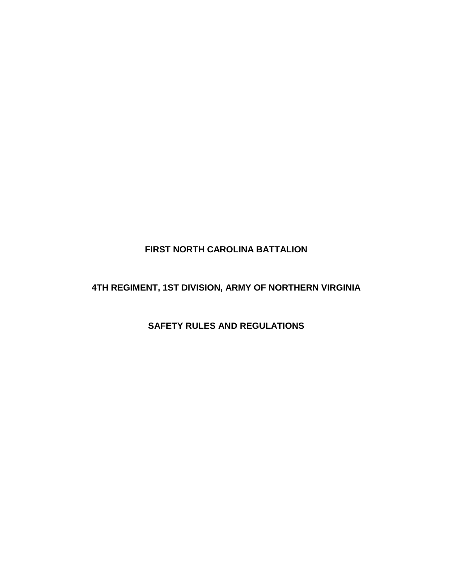# **FIRST NORTH CAROLINA BATTALION**

# **4TH REGIMENT, 1ST DIVISION, ARMY OF NORTHERN VIRGINIA**

## **SAFETY RULES AND REGULATIONS**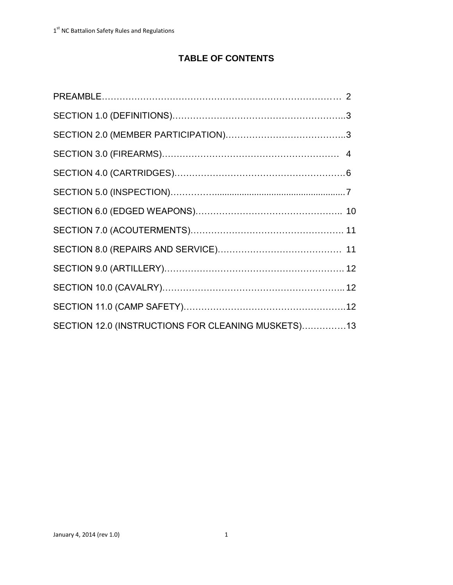# **TABLE OF CONTENTS**

| SECTION 12.0 (INSTRUCTIONS FOR CLEANING MUSKETS)13 |  |
|----------------------------------------------------|--|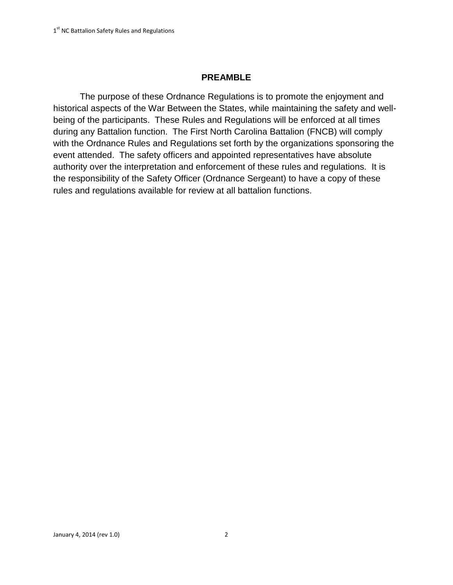#### **PREAMBLE**

The purpose of these Ordnance Regulations is to promote the enjoyment and historical aspects of the War Between the States, while maintaining the safety and wellbeing of the participants. These Rules and Regulations will be enforced at all times during any Battalion function. The First North Carolina Battalion (FNCB) will comply with the Ordnance Rules and Regulations set forth by the organizations sponsoring the event attended. The safety officers and appointed representatives have absolute authority over the interpretation and enforcement of these rules and regulations. It is the responsibility of the Safety Officer (Ordnance Sergeant) to have a copy of these rules and regulations available for review at all battalion functions.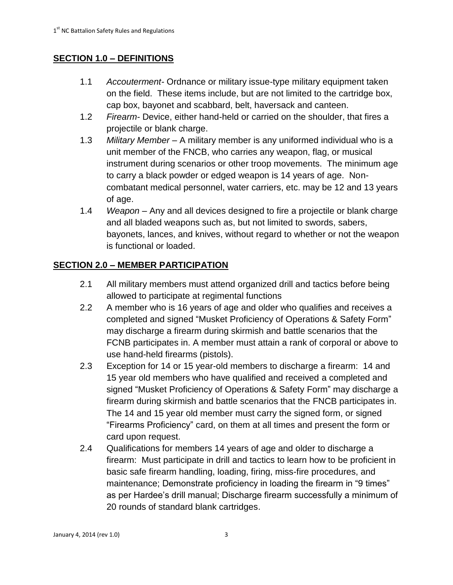## **SECTION 1.0 – DEFINITIONS**

- 1.1 *Accouterment-* Ordnance or military issue-type military equipment taken on the field. These items include, but are not limited to the cartridge box, cap box, bayonet and scabbard, belt, haversack and canteen.
- 1.2 *Firearm-* Device, either hand-held or carried on the shoulder, that fires a projectile or blank charge.
- 1.3 *Military Member* A military member is any uniformed individual who is a unit member of the FNCB, who carries any weapon, flag, or musical instrument during scenarios or other troop movements. The minimum age to carry a black powder or edged weapon is 14 years of age. Noncombatant medical personnel, water carriers, etc. may be 12 and 13 years of age.
- 1.4 *Weapon* Any and all devices designed to fire a projectile or blank charge and all bladed weapons such as, but not limited to swords, sabers, bayonets, lances, and knives, without regard to whether or not the weapon is functional or loaded.

## **SECTION 2.0 – MEMBER PARTICIPATION**

- 2.1 All military members must attend organized drill and tactics before being allowed to participate at regimental functions
- 2.2 A member who is 16 years of age and older who qualifies and receives a completed and signed "Musket Proficiency of Operations & Safety Form" may discharge a firearm during skirmish and battle scenarios that the FCNB participates in. A member must attain a rank of corporal or above to use hand-held firearms (pistols).
- 2.3 Exception for 14 or 15 year-old members to discharge a firearm: 14 and 15 year old members who have qualified and received a completed and signed "Musket Proficiency of Operations & Safety Form" may discharge a firearm during skirmish and battle scenarios that the FNCB participates in. The 14 and 15 year old member must carry the signed form, or signed "Firearms Proficiency" card, on them at all times and present the form or card upon request.
- 2.4 Qualifications for members 14 years of age and older to discharge a firearm: Must participate in drill and tactics to learn how to be proficient in basic safe firearm handling, loading, firing, miss-fire procedures, and maintenance; Demonstrate proficiency in loading the firearm in "9 times" as per Hardee's drill manual; Discharge firearm successfully a minimum of 20 rounds of standard blank cartridges.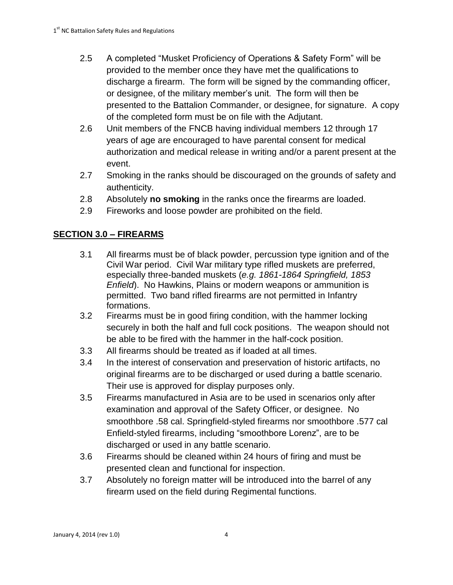- 2.5 A completed "Musket Proficiency of Operations & Safety Form" will be provided to the member once they have met the qualifications to discharge a firearm. The form will be signed by the commanding officer, or designee, of the military member's unit. The form will then be presented to the Battalion Commander, or designee, for signature. A copy of the completed form must be on file with the Adjutant.
- 2.6 Unit members of the FNCB having individual members 12 through 17 years of age are encouraged to have parental consent for medical authorization and medical release in writing and/or a parent present at the event.
- 2.7 Smoking in the ranks should be discouraged on the grounds of safety and authenticity.
- 2.8 Absolutely **no smoking** in the ranks once the firearms are loaded.
- 2.9 Fireworks and loose powder are prohibited on the field.

## **SECTION 3.0 – FIREARMS**

- 3.1 All firearms must be of black powder, percussion type ignition and of the Civil War period. Civil War military type rifled muskets are preferred, especially three-banded muskets (*e.g. 1861-1864 Springfield, 1853 Enfield*). No Hawkins, Plains or modern weapons or ammunition is permitted. Two band rifled firearms are not permitted in Infantry formations.
- 3.2 Firearms must be in good firing condition, with the hammer locking securely in both the half and full cock positions. The weapon should not be able to be fired with the hammer in the half-cock position.
- 3.3 All firearms should be treated as if loaded at all times.
- 3.4 In the interest of conservation and preservation of historic artifacts, no original firearms are to be discharged or used during a battle scenario. Their use is approved for display purposes only.
- 3.5 Firearms manufactured in Asia are to be used in scenarios only after examination and approval of the Safety Officer, or designee. No smoothbore .58 cal. Springfield-styled firearms nor smoothbore .577 cal Enfield-styled firearms, including "smoothbore Lorenz", are to be discharged or used in any battle scenario.
- 3.6 Firearms should be cleaned within 24 hours of firing and must be presented clean and functional for inspection.
- 3.7 Absolutely no foreign matter will be introduced into the barrel of any firearm used on the field during Regimental functions.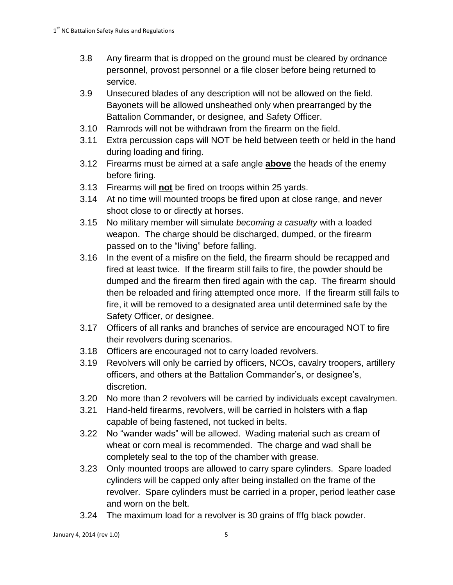- 3.8 Any firearm that is dropped on the ground must be cleared by ordnance personnel, provost personnel or a file closer before being returned to service.
- 3.9 Unsecured blades of any description will not be allowed on the field. Bayonets will be allowed unsheathed only when prearranged by the Battalion Commander, or designee, and Safety Officer.
- 3.10 Ramrods will not be withdrawn from the firearm on the field.
- 3.11 Extra percussion caps will NOT be held between teeth or held in the hand during loading and firing.
- 3.12 Firearms must be aimed at a safe angle **above** the heads of the enemy before firing.
- 3.13 Firearms will **not** be fired on troops within 25 yards.
- 3.14 At no time will mounted troops be fired upon at close range, and never shoot close to or directly at horses.
- 3.15 No military member will simulate *becoming a casualty* with a loaded weapon. The charge should be discharged, dumped, or the firearm passed on to the "living" before falling.
- 3.16 In the event of a misfire on the field, the firearm should be recapped and fired at least twice. If the firearm still fails to fire, the powder should be dumped and the firearm then fired again with the cap. The firearm should then be reloaded and firing attempted once more. If the firearm still fails to fire, it will be removed to a designated area until determined safe by the Safety Officer, or designee.
- 3.17 Officers of all ranks and branches of service are encouraged NOT to fire their revolvers during scenarios.
- 3.18 Officers are encouraged not to carry loaded revolvers.
- 3.19 Revolvers will only be carried by officers, NCOs, cavalry troopers, artillery officers, and others at the Battalion Commander's, or designee's, discretion.
- 3.20 No more than 2 revolvers will be carried by individuals except cavalrymen.
- 3.21 Hand-held firearms, revolvers, will be carried in holsters with a flap capable of being fastened, not tucked in belts.
- 3.22 No "wander wads" will be allowed. Wading material such as cream of wheat or corn meal is recommended. The charge and wad shall be completely seal to the top of the chamber with grease.
- 3.23 Only mounted troops are allowed to carry spare cylinders. Spare loaded cylinders will be capped only after being installed on the frame of the revolver. Spare cylinders must be carried in a proper, period leather case and worn on the belt.
- 3.24 The maximum load for a revolver is 30 grains of fffg black powder.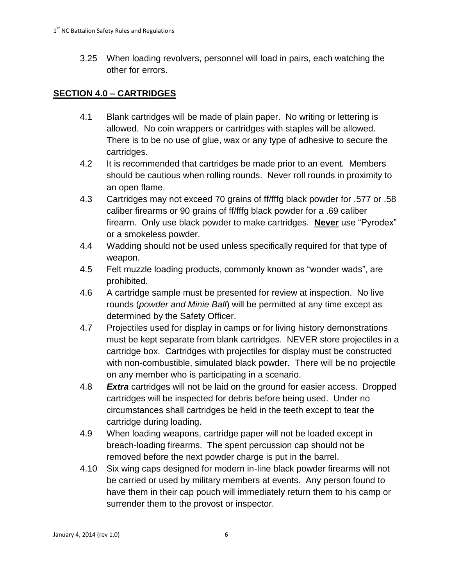3.25 When loading revolvers, personnel will load in pairs, each watching the other for errors.

# **SECTION 4.0 – CARTRIDGES**

- 4.1 Blank cartridges will be made of plain paper. No writing or lettering is allowed. No coin wrappers or cartridges with staples will be allowed. There is to be no use of glue, wax or any type of adhesive to secure the cartridges.
- 4.2 It is recommended that cartridges be made prior to an event. Members should be cautious when rolling rounds. Never roll rounds in proximity to an open flame.
- 4.3 Cartridges may not exceed 70 grains of ff/fffg black powder for .577 or .58 caliber firearms or 90 grains of ff/fffg black powder for a .69 caliber firearm. Only use black powder to make cartridges. **Never** use "Pyrodex" or a smokeless powder.
- 4.4 Wadding should not be used unless specifically required for that type of weapon.
- 4.5 Felt muzzle loading products, commonly known as "wonder wads", are prohibited.
- 4.6 A cartridge sample must be presented for review at inspection. No live rounds (*powder and Minie Ball*) will be permitted at any time except as determined by the Safety Officer.
- 4.7 Projectiles used for display in camps or for living history demonstrations must be kept separate from blank cartridges. NEVER store projectiles in a cartridge box. Cartridges with projectiles for display must be constructed with non-combustible, simulated black powder. There will be no projectile on any member who is participating in a scenario.
- 4.8 *Extra* cartridges will not be laid on the ground for easier access. Dropped cartridges will be inspected for debris before being used. Under no circumstances shall cartridges be held in the teeth except to tear the cartridge during loading.
- 4.9 When loading weapons, cartridge paper will not be loaded except in breach-loading firearms. The spent percussion cap should not be removed before the next powder charge is put in the barrel.
- 4.10 Six wing caps designed for modern in-line black powder firearms will not be carried or used by military members at events. Any person found to have them in their cap pouch will immediately return them to his camp or surrender them to the provost or inspector.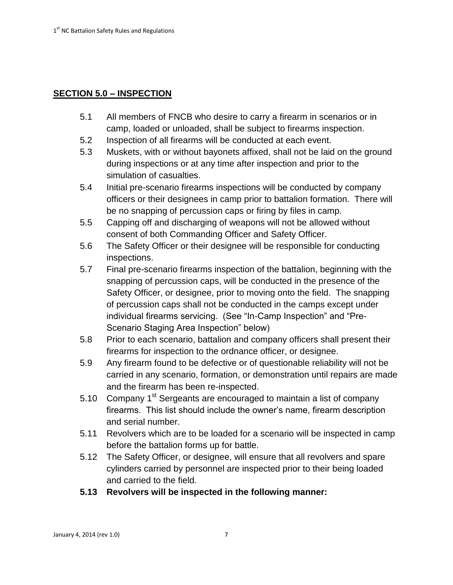## **SECTION 5.0 – INSPECTION**

- 5.1 All members of FNCB who desire to carry a firearm in scenarios or in camp, loaded or unloaded, shall be subject to firearms inspection.
- 5.2 Inspection of all firearms will be conducted at each event.
- 5.3 Muskets, with or without bayonets affixed, shall not be laid on the ground during inspections or at any time after inspection and prior to the simulation of casualties.
- 5.4 Initial pre-scenario firearms inspections will be conducted by company officers or their designees in camp prior to battalion formation. There will be no snapping of percussion caps or firing by files in camp.
- 5.5 Capping off and discharging of weapons will not be allowed without consent of both Commanding Officer and Safety Officer.
- 5.6 The Safety Officer or their designee will be responsible for conducting inspections.
- 5.7 Final pre-scenario firearms inspection of the battalion, beginning with the snapping of percussion caps, will be conducted in the presence of the Safety Officer, or designee, prior to moving onto the field. The snapping of percussion caps shall not be conducted in the camps except under individual firearms servicing. (See "In-Camp Inspection" and "Pre-Scenario Staging Area Inspection" below)
- 5.8 Prior to each scenario, battalion and company officers shall present their firearms for inspection to the ordnance officer, or designee.
- 5.9 Any firearm found to be defective or of questionable reliability will not be carried in any scenario, formation, or demonstration until repairs are made and the firearm has been re-inspected.
- 5.10 Company  $1<sup>st</sup>$  Sergeants are encouraged to maintain a list of company firearms. This list should include the owner's name, firearm description and serial number.
- 5.11 Revolvers which are to be loaded for a scenario will be inspected in camp before the battalion forms up for battle.
- 5.12 The Safety Officer, or designee, will ensure that all revolvers and spare cylinders carried by personnel are inspected prior to their being loaded and carried to the field.
- **5.13 Revolvers will be inspected in the following manner:**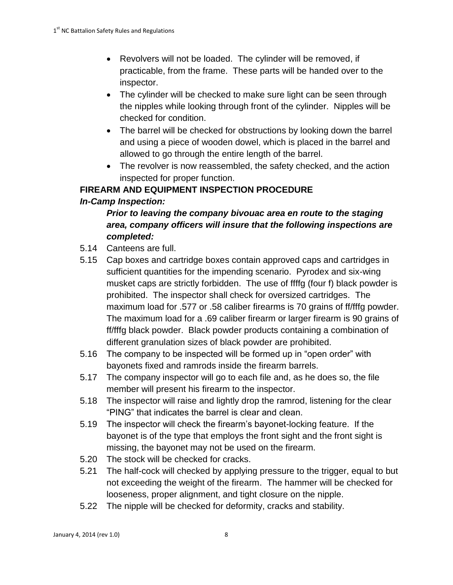- Revolvers will not be loaded. The cylinder will be removed, if practicable, from the frame. These parts will be handed over to the inspector.
- The cylinder will be checked to make sure light can be seen through the nipples while looking through front of the cylinder. Nipples will be checked for condition.
- The barrel will be checked for obstructions by looking down the barrel and using a piece of wooden dowel, which is placed in the barrel and allowed to go through the entire length of the barrel.
- The revolver is now reassembled, the safety checked, and the action inspected for proper function.

## **FIREARM AND EQUIPMENT INSPECTION PROCEDURE**

### *In-Camp Inspection:*

# *Prior to leaving the company bivouac area en route to the staging area, company officers will insure that the following inspections are completed:*

- 5.14 Canteens are full.
- 5.15 Cap boxes and cartridge boxes contain approved caps and cartridges in sufficient quantities for the impending scenario. Pyrodex and six-wing musket caps are strictly forbidden. The use of ffffg (four f) black powder is prohibited. The inspector shall check for oversized cartridges. The maximum load for .577 or .58 caliber firearms is 70 grains of ff/fffg powder. The maximum load for a .69 caliber firearm or larger firearm is 90 grains of ff/fffg black powder. Black powder products containing a combination of different granulation sizes of black powder are prohibited.
- 5.16 The company to be inspected will be formed up in "open order" with bayonets fixed and ramrods inside the firearm barrels.
- 5.17 The company inspector will go to each file and, as he does so, the file member will present his firearm to the inspector.
- 5.18 The inspector will raise and lightly drop the ramrod, listening for the clear "PING" that indicates the barrel is clear and clean.
- 5.19 The inspector will check the firearm's bayonet-locking feature. If the bayonet is of the type that employs the front sight and the front sight is missing, the bayonet may not be used on the firearm.
- 5.20 The stock will be checked for cracks.
- 5.21 The half-cock will checked by applying pressure to the trigger, equal to but not exceeding the weight of the firearm. The hammer will be checked for looseness, proper alignment, and tight closure on the nipple.
- 5.22 The nipple will be checked for deformity, cracks and stability.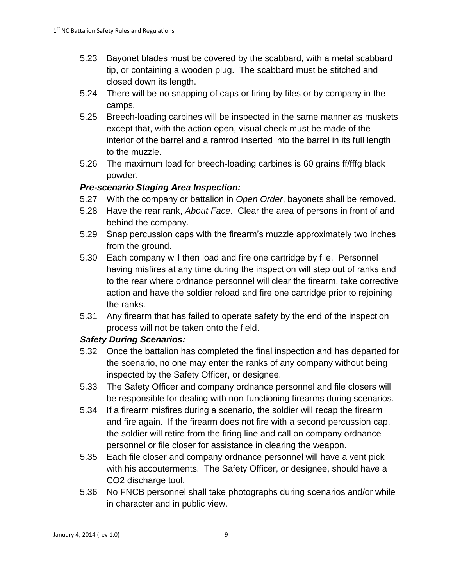- 5.23 Bayonet blades must be covered by the scabbard, with a metal scabbard tip, or containing a wooden plug. The scabbard must be stitched and closed down its length.
- 5.24 There will be no snapping of caps or firing by files or by company in the camps.
- 5.25 Breech-loading carbines will be inspected in the same manner as muskets except that, with the action open, visual check must be made of the interior of the barrel and a ramrod inserted into the barrel in its full length to the muzzle.
- 5.26 The maximum load for breech-loading carbines is 60 grains ff/fffg black powder.

## *Pre-scenario Staging Area Inspection:*

- 5.27 With the company or battalion in *Open Order*, bayonets shall be removed.
- 5.28 Have the rear rank, *About Face*. Clear the area of persons in front of and behind the company.
- 5.29 Snap percussion caps with the firearm's muzzle approximately two inches from the ground.
- 5.30 Each company will then load and fire one cartridge by file. Personnel having misfires at any time during the inspection will step out of ranks and to the rear where ordnance personnel will clear the firearm, take corrective action and have the soldier reload and fire one cartridge prior to rejoining the ranks.
- 5.31 Any firearm that has failed to operate safety by the end of the inspection process will not be taken onto the field.

## *Safety During Scenarios:*

- 5.32 Once the battalion has completed the final inspection and has departed for the scenario, no one may enter the ranks of any company without being inspected by the Safety Officer, or designee.
- 5.33 The Safety Officer and company ordnance personnel and file closers will be responsible for dealing with non-functioning firearms during scenarios.
- 5.34 If a firearm misfires during a scenario, the soldier will recap the firearm and fire again. If the firearm does not fire with a second percussion cap, the soldier will retire from the firing line and call on company ordnance personnel or file closer for assistance in clearing the weapon.
- 5.35 Each file closer and company ordnance personnel will have a vent pick with his accouterments. The Safety Officer, or designee, should have a CO<sub>2</sub> discharge tool.
- 5.36 No FNCB personnel shall take photographs during scenarios and/or while in character and in public view.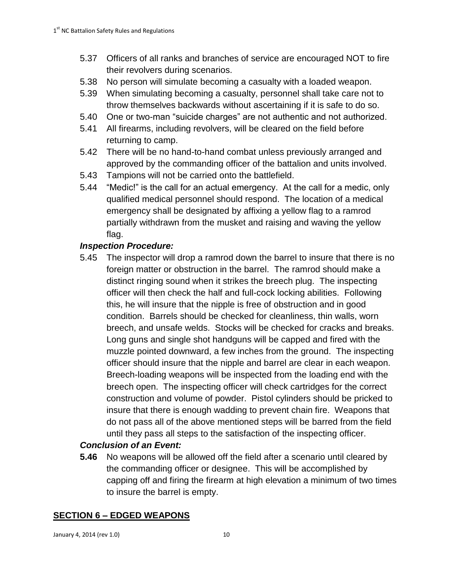- 5.37 Officers of all ranks and branches of service are encouraged NOT to fire their revolvers during scenarios.
- 5.38 No person will simulate becoming a casualty with a loaded weapon.
- 5.39 When simulating becoming a casualty, personnel shall take care not to throw themselves backwards without ascertaining if it is safe to do so.
- 5.40 One or two-man "suicide charges" are not authentic and not authorized.
- 5.41 All firearms, including revolvers, will be cleared on the field before returning to camp.
- 5.42 There will be no hand-to-hand combat unless previously arranged and approved by the commanding officer of the battalion and units involved.
- 5.43 Tampions will not be carried onto the battlefield.
- 5.44 "Medic!" is the call for an actual emergency. At the call for a medic, only qualified medical personnel should respond. The location of a medical emergency shall be designated by affixing a yellow flag to a ramrod partially withdrawn from the musket and raising and waving the yellow flag.

## *Inspection Procedure:*

5.45 The inspector will drop a ramrod down the barrel to insure that there is no foreign matter or obstruction in the barrel. The ramrod should make a distinct ringing sound when it strikes the breech plug. The inspecting officer will then check the half and full-cock locking abilities. Following this, he will insure that the nipple is free of obstruction and in good condition. Barrels should be checked for cleanliness, thin walls, worn breech, and unsafe welds. Stocks will be checked for cracks and breaks. Long guns and single shot handguns will be capped and fired with the muzzle pointed downward, a few inches from the ground. The inspecting officer should insure that the nipple and barrel are clear in each weapon. Breech-loading weapons will be inspected from the loading end with the breech open. The inspecting officer will check cartridges for the correct construction and volume of powder. Pistol cylinders should be pricked to insure that there is enough wadding to prevent chain fire. Weapons that do not pass all of the above mentioned steps will be barred from the field until they pass all steps to the satisfaction of the inspecting officer.

## *Conclusion of an Event:*

**5.46** No weapons will be allowed off the field after a scenario until cleared by the commanding officer or designee. This will be accomplished by capping off and firing the firearm at high elevation a minimum of two times to insure the barrel is empty.

## **SECTION 6 – EDGED WEAPONS**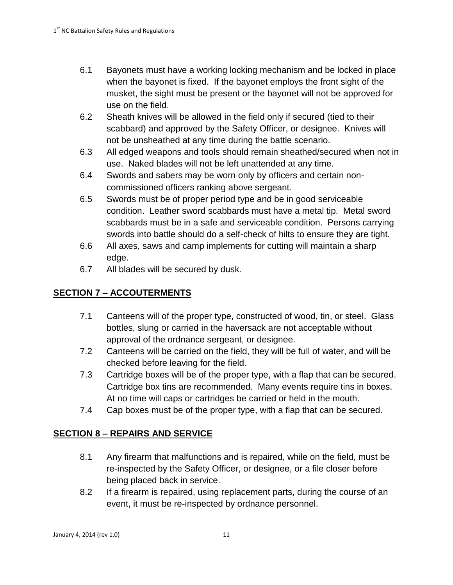- 6.1 Bayonets must have a working locking mechanism and be locked in place when the bayonet is fixed. If the bayonet employs the front sight of the musket, the sight must be present or the bayonet will not be approved for use on the field.
- 6.2 Sheath knives will be allowed in the field only if secured (tied to their scabbard) and approved by the Safety Officer, or designee. Knives will not be unsheathed at any time during the battle scenario.
- 6.3 All edged weapons and tools should remain sheathed/secured when not in use. Naked blades will not be left unattended at any time.
- 6.4 Swords and sabers may be worn only by officers and certain noncommissioned officers ranking above sergeant.
- 6.5 Swords must be of proper period type and be in good serviceable condition. Leather sword scabbards must have a metal tip. Metal sword scabbards must be in a safe and serviceable condition. Persons carrying swords into battle should do a self-check of hilts to ensure they are tight.
- 6.6 All axes, saws and camp implements for cutting will maintain a sharp edge.
- 6.7 All blades will be secured by dusk.

# **SECTION 7 – ACCOUTERMENTS**

- 7.1 Canteens will of the proper type, constructed of wood, tin, or steel. Glass bottles, slung or carried in the haversack are not acceptable without approval of the ordnance sergeant, or designee.
- 7.2 Canteens will be carried on the field, they will be full of water, and will be checked before leaving for the field.
- 7.3 Cartridge boxes will be of the proper type, with a flap that can be secured. Cartridge box tins are recommended. Many events require tins in boxes. At no time will caps or cartridges be carried or held in the mouth.
- 7.4 Cap boxes must be of the proper type, with a flap that can be secured.

## **SECTION 8 – REPAIRS AND SERVICE**

- 8.1 Any firearm that malfunctions and is repaired, while on the field, must be re-inspected by the Safety Officer, or designee, or a file closer before being placed back in service.
- 8.2 If a firearm is repaired, using replacement parts, during the course of an event, it must be re-inspected by ordnance personnel.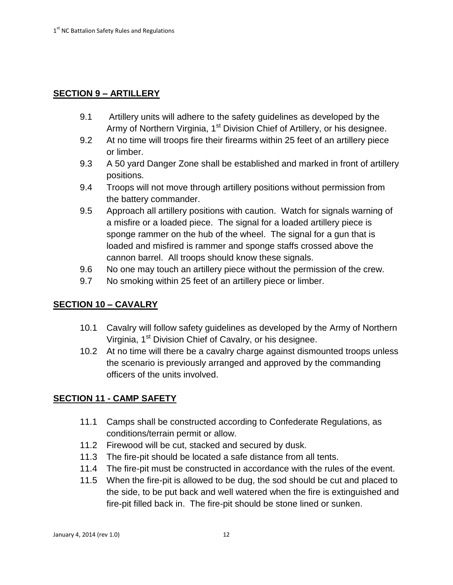### **SECTION 9 – ARTILLERY**

- 9.1 Artillery units will adhere to the safety guidelines as developed by the Army of Northern Virginia, 1<sup>st</sup> Division Chief of Artillery, or his designee.
- 9.2 At no time will troops fire their firearms within 25 feet of an artillery piece or limber.
- 9.3 A 50 yard Danger Zone shall be established and marked in front of artillery positions.
- 9.4 Troops will not move through artillery positions without permission from the battery commander.
- 9.5 Approach all artillery positions with caution. Watch for signals warning of a misfire or a loaded piece. The signal for a loaded artillery piece is sponge rammer on the hub of the wheel. The signal for a gun that is loaded and misfired is rammer and sponge staffs crossed above the cannon barrel. All troops should know these signals.
- 9.6 No one may touch an artillery piece without the permission of the crew.
- 9.7 No smoking within 25 feet of an artillery piece or limber.

### **SECTION 10 – CAVALRY**

- 10.1 Cavalry will follow safety guidelines as developed by the Army of Northern Virginia, 1<sup>st</sup> Division Chief of Cavalry, or his designee.
- 10.2 At no time will there be a cavalry charge against dismounted troops unless the scenario is previously arranged and approved by the commanding officers of the units involved.

### **SECTION 11 - CAMP SAFETY**

- 11.1 Camps shall be constructed according to Confederate Regulations, as conditions/terrain permit or allow.
- 11.2 Firewood will be cut, stacked and secured by dusk.
- 11.3 The fire-pit should be located a safe distance from all tents.
- 11.4 The fire-pit must be constructed in accordance with the rules of the event.
- 11.5 When the fire-pit is allowed to be dug, the sod should be cut and placed to the side, to be put back and well watered when the fire is extinguished and fire-pit filled back in. The fire-pit should be stone lined or sunken.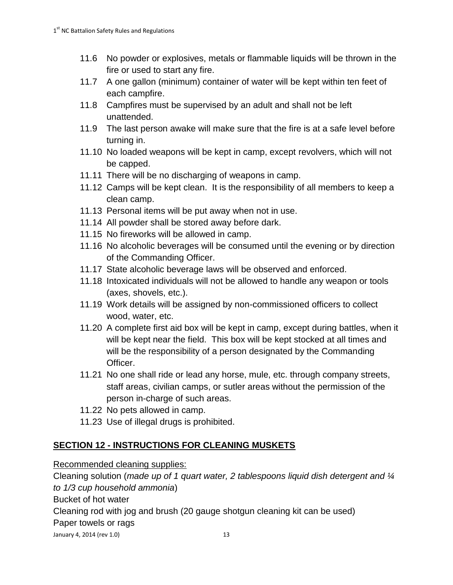- 11.6 No powder or explosives, metals or flammable liquids will be thrown in the fire or used to start any fire.
- 11.7 A one gallon (minimum) container of water will be kept within ten feet of each campfire.
- 11.8 Campfires must be supervised by an adult and shall not be left unattended.
- 11.9 The last person awake will make sure that the fire is at a safe level before turning in.
- 11.10 No loaded weapons will be kept in camp, except revolvers, which will not be capped.
- 11.11 There will be no discharging of weapons in camp.
- 11.12 Camps will be kept clean. It is the responsibility of all members to keep a clean camp.
- 11.13 Personal items will be put away when not in use.
- 11.14 All powder shall be stored away before dark.
- 11.15 No fireworks will be allowed in camp.
- 11.16 No alcoholic beverages will be consumed until the evening or by direction of the Commanding Officer.
- 11.17 State alcoholic beverage laws will be observed and enforced.
- 11.18 Intoxicated individuals will not be allowed to handle any weapon or tools (axes, shovels, etc.).
- 11.19 Work details will be assigned by non-commissioned officers to collect wood, water, etc.
- 11.20 A complete first aid box will be kept in camp, except during battles, when it will be kept near the field. This box will be kept stocked at all times and will be the responsibility of a person designated by the Commanding Officer.
- 11.21 No one shall ride or lead any horse, mule, etc. through company streets, staff areas, civilian camps, or sutler areas without the permission of the person in-charge of such areas.
- 11.22 No pets allowed in camp.
- 11.23 Use of illegal drugs is prohibited.

## **SECTION 12 - INSTRUCTIONS FOR CLEANING MUSKETS**

Recommended cleaning supplies:

Cleaning solution (*made up of 1 quart water, 2 tablespoons liquid dish detergent and ¼ to 1/3 cup household ammonia*) Bucket of hot water

Cleaning rod with jog and brush (20 gauge shotgun cleaning kit can be used)

Paper towels or rags

January 4, 2014 (rev 1.0) 13